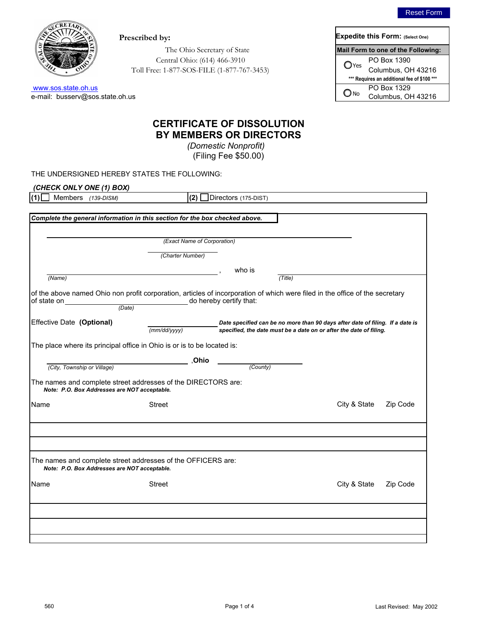

e-mail: busserv@sos.state.oh.us www.sos.state.oh.us

| Prescribed by:                             |                                             | <b>Expedite this Form: (Select One)</b> |
|--------------------------------------------|---------------------------------------------|-----------------------------------------|
| The Ohio Secretary of State                |                                             | Mail Form to one of the Following:      |
| Central Ohio: (614) 466-3910               | O <sub>Yes</sub>                            |                                         |
| Toll Free: 1-877-SOS-FILE (1-877-767-3453) |                                             | PO Box 1390<br>Columbus, OH 43216       |
|                                            | *** Requires an additional fee of \$100 *** |                                         |
|                                            | $\bigcirc$ No                               | PO Box 1329                             |
| .oh.us                                     |                                             | Columbus, OH 43216                      |

## **BY MEMBERS OR DIRECTORS CERTIFICATE OF DISSOLUTION**

*(Domestic Nonprofit)* (Filing Fee \$50.00)

THE UNDERSIGNED HEREBY STATES THE FOLLOWING:

| (CHECK ONLY ONE (1) BOX)                                                                                      |                             |                                                                                                                              |  |  |  |  |
|---------------------------------------------------------------------------------------------------------------|-----------------------------|------------------------------------------------------------------------------------------------------------------------------|--|--|--|--|
| Members (139-DISM)                                                                                            | (2)                         | Directors (175-DIST)                                                                                                         |  |  |  |  |
|                                                                                                               |                             |                                                                                                                              |  |  |  |  |
| Complete the general information in this section for the box checked above.                                   |                             |                                                                                                                              |  |  |  |  |
|                                                                                                               |                             |                                                                                                                              |  |  |  |  |
|                                                                                                               | (Exact Name of Corporation) |                                                                                                                              |  |  |  |  |
|                                                                                                               |                             |                                                                                                                              |  |  |  |  |
|                                                                                                               | (Charter Number)            |                                                                                                                              |  |  |  |  |
|                                                                                                               |                             | who is                                                                                                                       |  |  |  |  |
| (Name)                                                                                                        |                             | (Title)                                                                                                                      |  |  |  |  |
|                                                                                                               |                             | of the above named Ohio non profit corporation, articles of incorporation of which were filed in the office of the secretary |  |  |  |  |
| of state on<br>(Date)                                                                                         |                             | do hereby certify that:                                                                                                      |  |  |  |  |
|                                                                                                               |                             |                                                                                                                              |  |  |  |  |
| Effective Date (Optional)                                                                                     |                             | Date specified can be no more than 90 days after date of filing. If a date is                                                |  |  |  |  |
|                                                                                                               | (mm/dd/yyyy)                | specified, the date must be a date on or after the date of filing.                                                           |  |  |  |  |
| The place where its principal office in Ohio is or is to be located is:                                       |                             |                                                                                                                              |  |  |  |  |
|                                                                                                               | ,Ohio                       |                                                                                                                              |  |  |  |  |
| (City, Township or Village)                                                                                   |                             | (County)                                                                                                                     |  |  |  |  |
| The names and complete street addresses of the DIRECTORS are:<br>Note: P.O. Box Addresses are NOT acceptable. |                             |                                                                                                                              |  |  |  |  |
| Name                                                                                                          | <b>Street</b>               | City & State<br>Zip Code                                                                                                     |  |  |  |  |
|                                                                                                               |                             |                                                                                                                              |  |  |  |  |
|                                                                                                               |                             |                                                                                                                              |  |  |  |  |
| The names and complete street addresses of the OFFICERS are:<br>Note: P.O. Box Addresses are NOT acceptable.  |                             |                                                                                                                              |  |  |  |  |
| Name                                                                                                          | <b>Street</b>               | City & State<br>Zip Code                                                                                                     |  |  |  |  |
|                                                                                                               |                             |                                                                                                                              |  |  |  |  |
|                                                                                                               |                             |                                                                                                                              |  |  |  |  |
|                                                                                                               |                             |                                                                                                                              |  |  |  |  |
|                                                                                                               |                             |                                                                                                                              |  |  |  |  |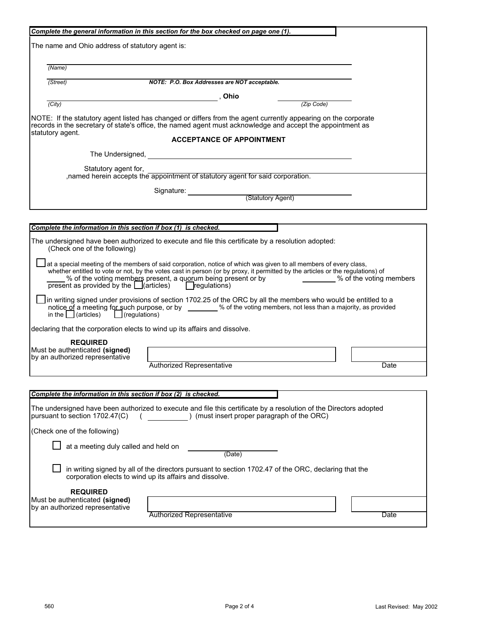| Complete the general information in this section for the box checked on page one (1).                                                                                                                                                                                                                                                                                                                                |      |  |  |  |
|----------------------------------------------------------------------------------------------------------------------------------------------------------------------------------------------------------------------------------------------------------------------------------------------------------------------------------------------------------------------------------------------------------------------|------|--|--|--|
| The name and Ohio address of statutory agent is:                                                                                                                                                                                                                                                                                                                                                                     |      |  |  |  |
| (Name)                                                                                                                                                                                                                                                                                                                                                                                                               |      |  |  |  |
| $\sqrt{(Street)}$<br>NOTE: P.O. Box Addresses are NOT acceptable.                                                                                                                                                                                                                                                                                                                                                    |      |  |  |  |
|                                                                                                                                                                                                                                                                                                                                                                                                                      |      |  |  |  |
| $\overline{(City)}$<br>(Zip Code)                                                                                                                                                                                                                                                                                                                                                                                    |      |  |  |  |
| NOTE: If the statutory agent listed has changed or differs from the agent currently appearing on the corporate<br>records in the secretary of state's office, the named agent must acknowledge and accept the appointment as<br>statutory agent.                                                                                                                                                                     |      |  |  |  |
| <b>ACCEPTANCE OF APPOINTMENT</b>                                                                                                                                                                                                                                                                                                                                                                                     |      |  |  |  |
|                                                                                                                                                                                                                                                                                                                                                                                                                      |      |  |  |  |
| Statutory agent for,                                                                                                                                                                                                                                                                                                                                                                                                 |      |  |  |  |
| , named herein accepts the appointment of statutory agent for said corporation.                                                                                                                                                                                                                                                                                                                                      |      |  |  |  |
| Signature: <u>Community (Statutory Agent)</u>                                                                                                                                                                                                                                                                                                                                                                        |      |  |  |  |
|                                                                                                                                                                                                                                                                                                                                                                                                                      |      |  |  |  |
|                                                                                                                                                                                                                                                                                                                                                                                                                      |      |  |  |  |
| Complete the information in this section if box (1) is checked.                                                                                                                                                                                                                                                                                                                                                      |      |  |  |  |
| The undersigned have been authorized to execute and file this certificate by a resolution adopted:<br>(Check one of the following)                                                                                                                                                                                                                                                                                   |      |  |  |  |
| at a special meeting of the members of said corporation, notice of which was given to all members of every class,<br>whether entitled to vote or not, by the votes cast in person (or by proxy, it permitted by the articles or the regulations) of<br>% of the voting members present, a quorum being present or by _________% of the voting members<br>$present$ as provided by the $\Box$ (articles) regulations) |      |  |  |  |
| in writing signed under provisions of section 1702.25 of the ORC by all the members who would be entitled to a<br>notice of a meeting for such purpose, or by ________% of the voting members, not less than a majority, as provided<br>in the $\Box$ (articles) $\Box$ (regulations)                                                                                                                                |      |  |  |  |
| declaring that the corporation elects to wind up its affairs and dissolve.                                                                                                                                                                                                                                                                                                                                           |      |  |  |  |
| <b>REQUIRED</b><br>Must be authenticated (signed)<br>by an authorized representative<br><b>Authorized Representative</b>                                                                                                                                                                                                                                                                                             | Date |  |  |  |
|                                                                                                                                                                                                                                                                                                                                                                                                                      |      |  |  |  |
| Complete the information in this section if box (2) is checked.                                                                                                                                                                                                                                                                                                                                                      |      |  |  |  |
| The undersigned have been authorized to execute and file this certificate by a resolution of the Directors adopted<br>) (must insert proper paragraph of the ORC)<br>pursuant to section 1702.47(C)                                                                                                                                                                                                                  |      |  |  |  |
| (Check one of the following)                                                                                                                                                                                                                                                                                                                                                                                         |      |  |  |  |
| at a meeting duly called and held on<br>(Date)                                                                                                                                                                                                                                                                                                                                                                       |      |  |  |  |
| in writing signed by all of the directors pursuant to section 1702.47 of the ORC, declaring that the<br>corporation elects to wind up its affairs and dissolve.                                                                                                                                                                                                                                                      |      |  |  |  |
| <b>REQUIRED</b><br>Must be authenticated (signed)<br>by an authorized representative<br><b>Authorized Representative</b>                                                                                                                                                                                                                                                                                             | Date |  |  |  |
|                                                                                                                                                                                                                                                                                                                                                                                                                      |      |  |  |  |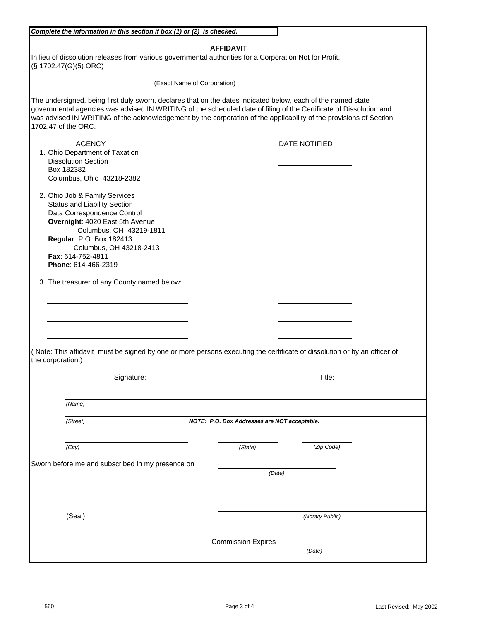| Complete the information in this section if box (1) or (2) is checked.                                                      |                                              |  |  |  |
|-----------------------------------------------------------------------------------------------------------------------------|----------------------------------------------|--|--|--|
|                                                                                                                             |                                              |  |  |  |
| <b>AFFIDAVIT</b><br>In lieu of dissolution releases from various governmental authorities for a Corporation Not for Profit, |                                              |  |  |  |
| (§ 1702.47(G)(5) ORC)                                                                                                       |                                              |  |  |  |
|                                                                                                                             |                                              |  |  |  |
| (Exact Name of Corporation)                                                                                                 |                                              |  |  |  |
| The undersigned, being first duly sworn, declares that on the dates indicated below, each of the named state                |                                              |  |  |  |
| governmental agencies was advised IN WRITING of the scheduled date of filing of the Certificate of Dissolution and          |                                              |  |  |  |
| was advised IN WRITING of the acknowledgement by the corporation of the applicability of the provisions of Section          |                                              |  |  |  |
| 1702.47 of the ORC.                                                                                                         |                                              |  |  |  |
| <b>AGENCY</b>                                                                                                               | <b>DATE NOTIFIED</b>                         |  |  |  |
| 1. Ohio Department of Taxation                                                                                              |                                              |  |  |  |
| <b>Dissolution Section</b>                                                                                                  |                                              |  |  |  |
| Box 182382                                                                                                                  |                                              |  |  |  |
| Columbus, Ohio 43218-2382                                                                                                   |                                              |  |  |  |
|                                                                                                                             |                                              |  |  |  |
| 2. Ohio Job & Family Services                                                                                               |                                              |  |  |  |
| <b>Status and Liability Section</b>                                                                                         |                                              |  |  |  |
| Data Correspondence Control                                                                                                 |                                              |  |  |  |
| Overnight: 4020 East 5th Avenue                                                                                             |                                              |  |  |  |
| Columbus, OH 43219-1811                                                                                                     |                                              |  |  |  |
| Regular: P.O. Box 182413<br>Columbus, OH 43218-2413                                                                         |                                              |  |  |  |
| Fax: 614-752-4811                                                                                                           |                                              |  |  |  |
| Phone: 614-466-2319                                                                                                         |                                              |  |  |  |
|                                                                                                                             |                                              |  |  |  |
| 3. The treasurer of any County named below:                                                                                 |                                              |  |  |  |
|                                                                                                                             |                                              |  |  |  |
|                                                                                                                             |                                              |  |  |  |
|                                                                                                                             |                                              |  |  |  |
|                                                                                                                             |                                              |  |  |  |
|                                                                                                                             |                                              |  |  |  |
|                                                                                                                             |                                              |  |  |  |
| (Note: This affidavit must be signed by one or more persons executing the certificate of dissolution or by an officer of    |                                              |  |  |  |
| the corporation.)                                                                                                           |                                              |  |  |  |
| Signature:                                                                                                                  | Title:                                       |  |  |  |
|                                                                                                                             |                                              |  |  |  |
|                                                                                                                             |                                              |  |  |  |
| (Name)                                                                                                                      |                                              |  |  |  |
| (Street)                                                                                                                    | NOTE: P.O. Box Addresses are NOT acceptable. |  |  |  |
|                                                                                                                             |                                              |  |  |  |
|                                                                                                                             |                                              |  |  |  |
| (City)                                                                                                                      | (Zip Code)<br>(State)                        |  |  |  |
| Sworn before me and subscribed in my presence on                                                                            |                                              |  |  |  |
|                                                                                                                             | (Date)                                       |  |  |  |
|                                                                                                                             |                                              |  |  |  |
|                                                                                                                             |                                              |  |  |  |
|                                                                                                                             |                                              |  |  |  |
|                                                                                                                             |                                              |  |  |  |
| (Seal)                                                                                                                      | (Notary Public)                              |  |  |  |
|                                                                                                                             |                                              |  |  |  |
| <b>Commission Expires</b>                                                                                                   |                                              |  |  |  |
| (Date)                                                                                                                      |                                              |  |  |  |
|                                                                                                                             |                                              |  |  |  |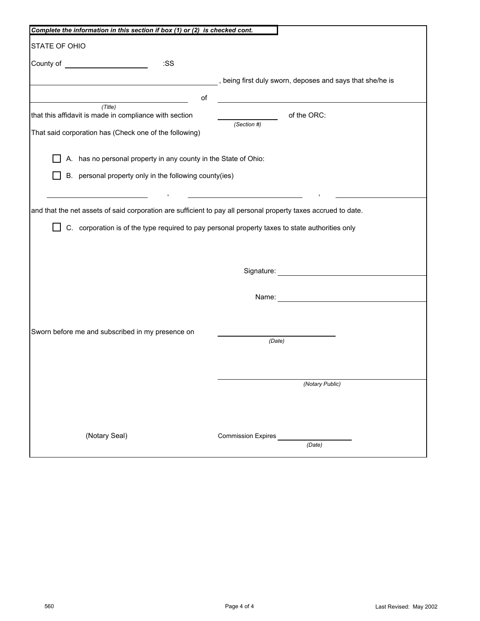| Complete the information in this section if box (1) or (2) is checked cont.                                                                                                                                                                 |                                                           |  |  |  |
|---------------------------------------------------------------------------------------------------------------------------------------------------------------------------------------------------------------------------------------------|-----------------------------------------------------------|--|--|--|
| STATE OF OHIO                                                                                                                                                                                                                               |                                                           |  |  |  |
| :SS<br>County of <u>substantial and the set of the set of the set of the set of the set of the set of the set of the set of the set of the set of the set of the set of the set of the set of the set of the set of the set of the set </u> |                                                           |  |  |  |
|                                                                                                                                                                                                                                             | , being first duly sworn, deposes and says that she/he is |  |  |  |
| of                                                                                                                                                                                                                                          |                                                           |  |  |  |
| (Title)<br>that this affidavit is made in compliance with section                                                                                                                                                                           | of the ORC:                                               |  |  |  |
| That said corporation has (Check one of the following)                                                                                                                                                                                      | (Section #)                                               |  |  |  |
| A. has no personal property in any county in the State of Ohio:                                                                                                                                                                             |                                                           |  |  |  |
| B. personal property only in the following county(ies)                                                                                                                                                                                      |                                                           |  |  |  |
| and that the net assets of said corporation are sufficient to pay all personal property taxes accrued to date.                                                                                                                              |                                                           |  |  |  |
| C. corporation is of the type required to pay personal property taxes to state authorities only                                                                                                                                             |                                                           |  |  |  |
|                                                                                                                                                                                                                                             | Signature: <b>Signature:</b>                              |  |  |  |
| Name: Name and the state of the state of the state of the state of the state of the state of the state of the state of the state of the state of the state of the state of the state of the state of the state of the state of              |                                                           |  |  |  |
|                                                                                                                                                                                                                                             |                                                           |  |  |  |
| Sworn before me and subscribed in my presence on                                                                                                                                                                                            | (Date)                                                    |  |  |  |
|                                                                                                                                                                                                                                             |                                                           |  |  |  |
|                                                                                                                                                                                                                                             | (Notary Public)                                           |  |  |  |
|                                                                                                                                                                                                                                             |                                                           |  |  |  |
| (Notary Seal)                                                                                                                                                                                                                               | <b>Commission Expires</b>                                 |  |  |  |
|                                                                                                                                                                                                                                             | (Date)                                                    |  |  |  |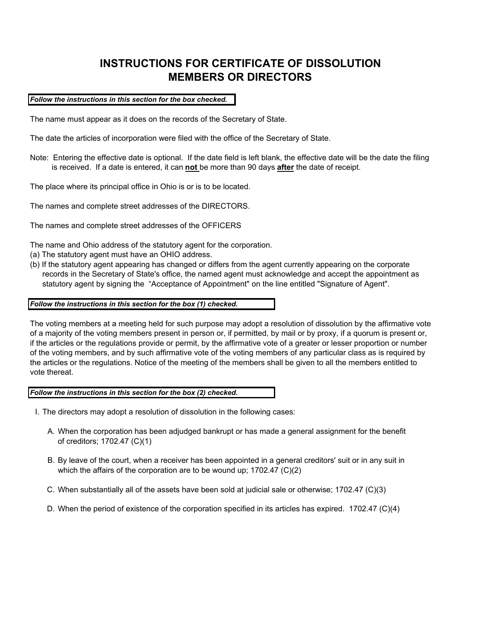# **INSTRUCTIONS FOR CERTIFICATE OF DISSOLUTION MEMBERS OR DIRECTORS**

*Follow the instructions in this section for the box checked.*

The name must appear as it does on the records of the Secretary of State.

The date the articles of incorporation were filed with the office of the Secretary of State.

Note: Entering the effective date is optional. If the date field is left blank, the effective date will be the date the filing is received. If a date is entered, it can **not** be more than 90 days **after** the date of receipt.

The place where its principal office in Ohio is or is to be located.

The names and complete street addresses of the DIRECTORS.

The names and complete street addresses of the OFFICERS

The name and Ohio address of the statutory agent for the corporation.

- (a) The statutory agent must have an OHIO address.
- (b) If the statutory agent appearing has changed or differs from the agent currently appearing on the corporate records in the Secretary of State's office, the named agent must acknowledge and accept the appointment as statutory agent by signing the "Acceptance of Appointment" on the line entitled "Signature of Agent".

#### *Follow the instructions in this section for the box (1) checked.*

The voting members at a meeting held for such purpose may adopt a resolution of dissolution by the affirmative vote of a majority of the voting members present in person or, if permitted, by mail or by proxy, if a quorum is present or, if the articles or the regulations provide or permit, by the affirmative vote of a greater or lesser proportion or number of the voting members, and by such affirmative vote of the voting members of any particular class as is required by the articles or the regulations. Notice of the meeting of the members shall be given to all the members entitled to vote thereat.

*Follow the instructions in this section for the box (2) checked.*

- I. The directors may adopt a resolution of dissolution in the following cases:
	- A. When the corporation has been adjudged bankrupt or has made a general assignment for the benefit of creditors; 1702.47 (C)(1)
	- B. By leave of the court, when a receiver has been appointed in a general creditors' suit or in any suit in which the affairs of the corporation are to be wound up; 1702.47 (C)(2)
	- C. When substantially all of the assets have been sold at judicial sale or otherwise; 1702.47 (C)(3)
	- D. When the period of existence of the corporation specified in its articles has expired. 1702.47 (C)(4)